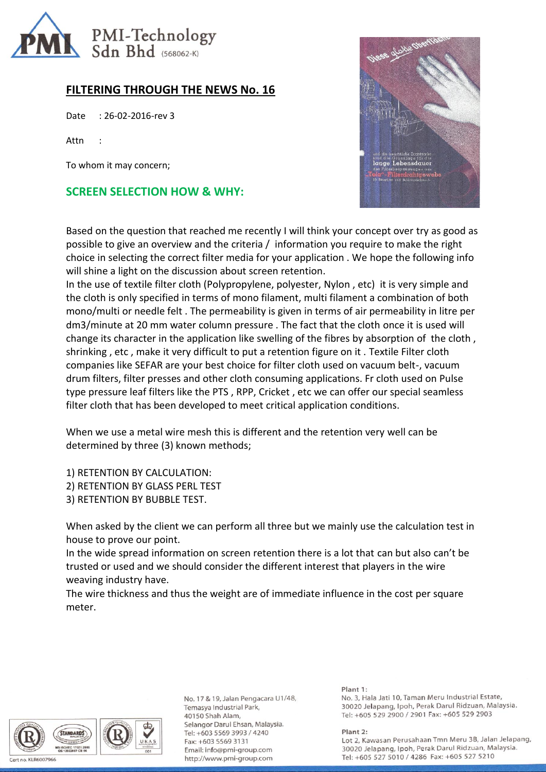

# **FILTERING THROUGH THE NEWS No. 16**

Date : 26-02-2016-rev 3

Attn :

To whom it may concern;

## **SCREEN SELECTION HOW & WHY:**



Based on the question that reached me recently I will think your concept over try as good as possible to give an overview and the criteria / information you require to make the right choice in selecting the correct filter media for your application . We hope the following info will shine a light on the discussion about screen retention.

In the use of textile filter cloth (Polypropylene, polyester, Nylon , etc) it is very simple and the cloth is only specified in terms of mono filament, multi filament a combination of both mono/multi or needle felt . The permeability is given in terms of air permeability in litre per dm3/minute at 20 mm water column pressure . The fact that the cloth once it is used will change its character in the application like swelling of the fibres by absorption of the cloth , shrinking , etc , make it very difficult to put a retention figure on it . Textile Filter cloth companies like SEFAR are your best choice for filter cloth used on vacuum belt-, vacuum drum filters, filter presses and other cloth consuming applications. Fr cloth used on Pulse type pressure leaf filters like the PTS , RPP, Cricket , etc we can offer our special seamless filter cloth that has been developed to meet critical application conditions.

When we use a metal wire mesh this is different and the retention very well can be determined by three (3) known methods;

1) RETENTION BY CALCULATION: 2) RETENTION BY GLASS PERL TEST 3) RETENTION BY BUBBLE TEST.

When asked by the client we can perform all three but we mainly use the calculation test in house to prove our point.

In the wide spread information on screen retention there is a lot that can but also can't be trusted or used and we should consider the different interest that players in the wire weaving industry have.

The wire thickness and thus the weight are of immediate influence in the cost per square meter.



No. 17 & 19, Jalan Pengacara U1/48, Temasya Industrial Park, 40150 Shah Alam, Selangor Darul Ehsan, Malaysia. Tel: +603 5569 3993 / 4240 Fax: +603 5569 3131 Email: info@pmi-group.com http://www.pmi-group.com

#### Plant 1:

No. 3, Hala Jati 10, Taman Meru Industrial Estate, 30020 Jelapang, Ipoh, Perak Darul Ridzuan, Malaysia. Tel: +605 529 2900 / 2901 Fax: +605 529 2903

Plant 2: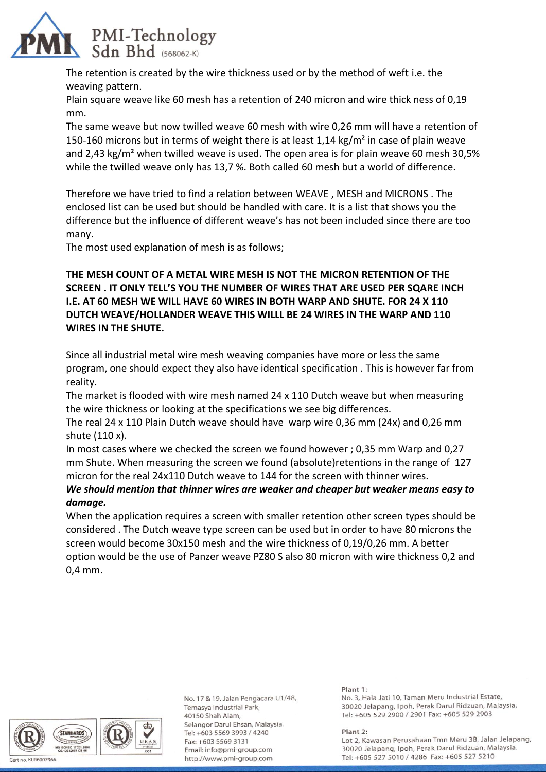

The retention is created by the wire thickness used or by the method of weft i.e. the weaving pattern.

Plain square weave like 60 mesh has a retention of 240 micron and wire thick ness of 0,19 mm.

The same weave but now twilled weave 60 mesh with wire 0,26 mm will have a retention of 150-160 microns but in terms of weight there is at least 1,14 kg/m<sup>2</sup> in case of plain weave and 2,43 kg/m² when twilled weave is used. The open area is for plain weave 60 mesh 30,5% while the twilled weave only has 13,7 %. Both called 60 mesh but a world of difference.

Therefore we have tried to find a relation between WEAVE , MESH and MICRONS . The enclosed list can be used but should be handled with care. It is a list that shows you the difference but the influence of different weave's has not been included since there are too many.

The most used explanation of mesh is as follows;

### **THE MESH COUNT OF A METAL WIRE MESH IS NOT THE MICRON RETENTION OF THE SCREEN . IT ONLY TELL'S YOU THE NUMBER OF WIRES THAT ARE USED PER SQARE INCH I.E. AT 60 MESH WE WILL HAVE 60 WIRES IN BOTH WARP AND SHUTE. FOR 24 X 110 DUTCH WEAVE/HOLLANDER WEAVE THIS WILLL BE 24 WIRES IN THE WARP AND 110 WIRES IN THE SHUTE.**

Since all industrial metal wire mesh weaving companies have more or less the same program, one should expect they also have identical specification . This is however far from reality.

The market is flooded with wire mesh named 24 x 110 Dutch weave but when measuring the wire thickness or looking at the specifications we see big differences.

The real 24 x 110 Plain Dutch weave should have warp wire 0,36 mm (24x) and 0,26 mm shute (110 x).

In most cases where we checked the screen we found however ; 0,35 mm Warp and 0,27 mm Shute. When measuring the screen we found (absolute)retentions in the range of 127 micron for the real 24x110 Dutch weave to 144 for the screen with thinner wires.

### *We should mention that thinner wires are weaker and cheaper but weaker means easy to damage.*

When the application requires a screen with smaller retention other screen types should be considered . The Dutch weave type screen can be used but in order to have 80 microns the screen would become 30x150 mesh and the wire thickness of 0,19/0,26 mm. A better option would be the use of Panzer weave PZ80 S also 80 micron with wire thickness 0,2 and 0,4 mm.



No. 17 & 19, Jalan Pengacara U1/48, Temasya Industrial Park, 40150 Shah Alam, Selangor Darul Ehsan, Malaysia. Tel: +603 5569 3993 / 4240 Fax: +603 5569 3131 Email: info@pmi-group.com http://www.pmi-group.com

#### Plant 1:

No. 3, Hala Jati 10, Taman Meru Industrial Estate, 30020 Jelapang, Ipoh, Perak Darul Ridzuan, Malaysia. Tel: +605 529 2900 / 2901 Fax: +605 529 2903

Plant 2: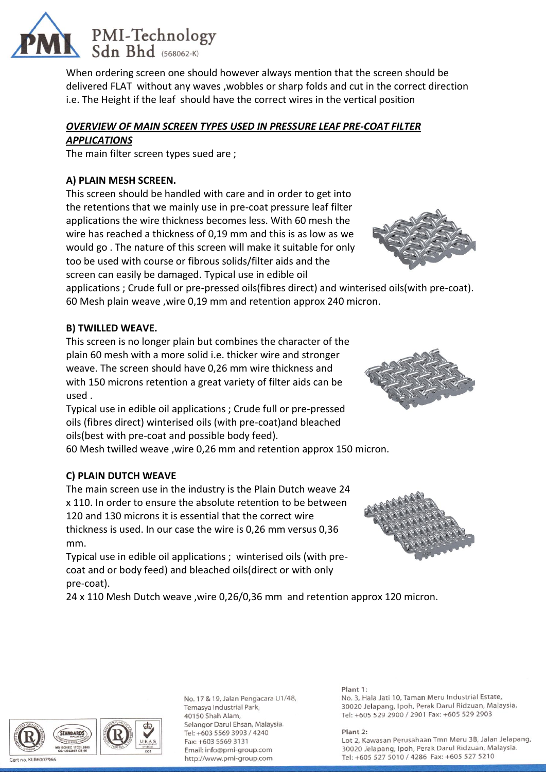

When ordering screen one should however always mention that the screen should be delivered FLAT without any waves ,wobbles or sharp folds and cut in the correct direction i.e. The Height if the leaf should have the correct wires in the vertical position

#### *OVERVIEW OF MAIN SCREEN TYPES USED IN PRESSURE LEAF PRE-COAT FILTER*

#### *APPLICATIONS*

The main filter screen types sued are ;

## **A) PLAIN MESH SCREEN.**

This screen should be handled with care and in order to get into the retentions that we mainly use in pre-coat pressure leaf filter applications the wire thickness becomes less. With 60 mesh the wire has reached a thickness of 0,19 mm and this is as low as we would go . The nature of this screen will make it suitable for only too be used with course or fibrous solids/filter aids and the screen can easily be damaged. Typical use in edible oil



applications ; Crude full or pre-pressed oils(fibres direct) and winterised oils(with pre-coat). 60 Mesh plain weave ,wire 0,19 mm and retention approx 240 micron.

# **B) TWILLED WEAVE.**

This screen is no longer plain but combines the character of the plain 60 mesh with a more solid i.e. thicker wire and stronger weave. The screen should have 0,26 mm wire thickness and with 150 microns retention a great variety of filter aids can be used .

Typical use in edible oil applications ; Crude full or pre-pressed oils (fibres direct) winterised oils (with pre-coat)and bleached oils(best with pre-coat and possible body feed).

60 Mesh twilled weave ,wire 0,26 mm and retention approx 150 micron.

## **C) PLAIN DUTCH WEAVE**

The main screen use in the industry is the Plain Dutch weave 24 x 110. In order to ensure the absolute retention to be between 120 and 130 microns it is essential that the correct wire thickness is used. In our case the wire is 0,26 mm versus 0,36 mm.

Typical use in edible oil applications ; winterised oils (with precoat and or body feed) and bleached oils(direct or with only pre-coat).

24 x 110 Mesh Dutch weave ,wire 0,26/0,36 mm and retention approx 120 micron.







No. 17 & 19, Jalan Pengacara U1/48, Temasya Industrial Park, 40150 Shah Alam, Selangor Darul Ehsan, Malaysia. Tel: +603 5569 3993 / 4240 Fax: +603 5569 3131 Email: info@pmi-group.com http://www.pmi-group.com

#### Plant 1:

No. 3, Hala Jati 10, Taman Meru Industrial Estate, 30020 Jelapang, Ipoh, Perak Darul Ridzuan, Malaysia. Tel: +605 529 2900 / 2901 Fax: +605 529 2903

Plant 2: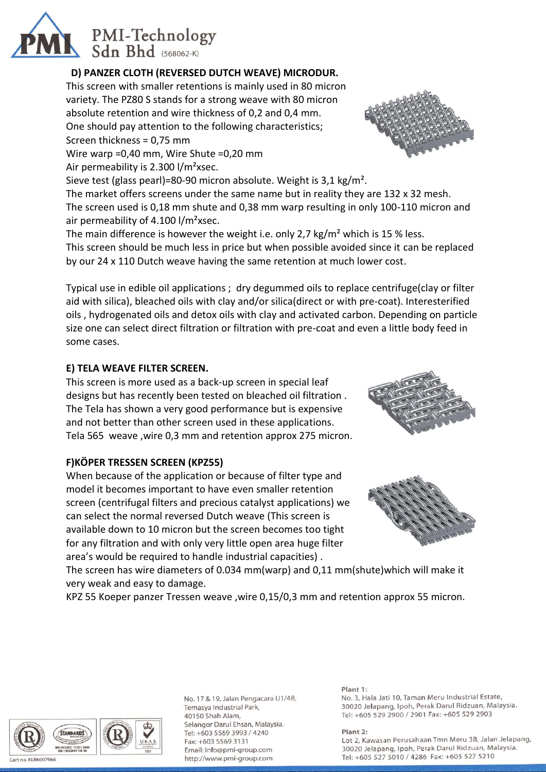# PMI-Technology<br>Sdn Bhd (568062-K)

# **D) PANZER CLOTH (REVERSED DUTCH WEAVE) MICRODUR.**

This screen with smaller retentions is mainly used in 80 micron variety. The PZ80 S stands for a strong weave with 80 micron absolute retention and wire thickness of 0,2 and 0,4 mm. One should pay attention to the following characteristics; Screen thickness = 0,75 mm

Wire warp =0,40 mm, Wire Shute =0,20 mm Air permeability is 2.300 l/m²xsec.

Sieve test (glass pearl)=80-90 micron absolute. Weight is 3,1 kg/m².

The market offers screens under the same name but in reality they are 132 x 32 mesh. The screen used is 0,18 mm shute and 0,38 mm warp resulting in only 100-110 micron and air permeability of  $4.100$  l/m<sup>2</sup>xsec.

The main difference is however the weight i.e. only 2,7 kg/m<sup>2</sup> which is 15 % less. This screen should be much less in price but when possible avoided since it can be replaced by our 24 x 110 Dutch weave having the same retention at much lower cost.

Typical use in edible oil applications ; dry degummed oils to replace centrifuge(clay or filter aid with silica), bleached oils with clay and/or silica(direct or with pre-coat). Interesterified oils , hydrogenated oils and detox oils with clay and activated carbon. Depending on particle size one can select direct filtration or filtration with pre-coat and even a little body feed in some cases.

## **E) TELA WEAVE FILTER SCREEN.**

This screen is more used as a back-up screen in special leaf designs but has recently been tested on bleached oil filtration . The Tela has shown a very good performance but is expensive and not better than other screen used in these applications. Tela 565 weave ,wire 0,3 mm and retention approx 275 micron.

## **F)KÖPER TRESSEN SCREEN (KPZ55)**

When because of the application or because of filter type and model it becomes important to have even smaller retention screen (centrifugal filters and precious catalyst applications) we can select the normal reversed Dutch weave (This screen is available down to 10 micron but the screen becomes too tight for any filtration and with only very little open area huge filter area's would be required to handle industrial capacities) .

The screen has wire diameters of 0.034 mm(warp) and 0,11 mm(shute)which will make it very weak and easy to damage.

KPZ 55 Koeper panzer Tressen weave ,wire 0,15/0,3 mm and retention approx 55 micron.



No. 17 & 19, Jalan Pengacara U1/48, Temasya Industrial Park, 40150 Shah Alam, Selangor Darul Ehsan, Malaysia. Tel: +603 5569 3993 / 4240 Fax: +603 5569 3131 Email: info@pmi-group.com http://www.pmi-group.com

#### Plant 1:

No. 3, Hala Jati 10, Taman Meru Industrial Estate, 30020 Jelapang, Ipoh, Perak Darul Ridzuan, Malaysia. Tel: +605 529 2900 / 2901 Fax: +605 529 2903

Plant 2: